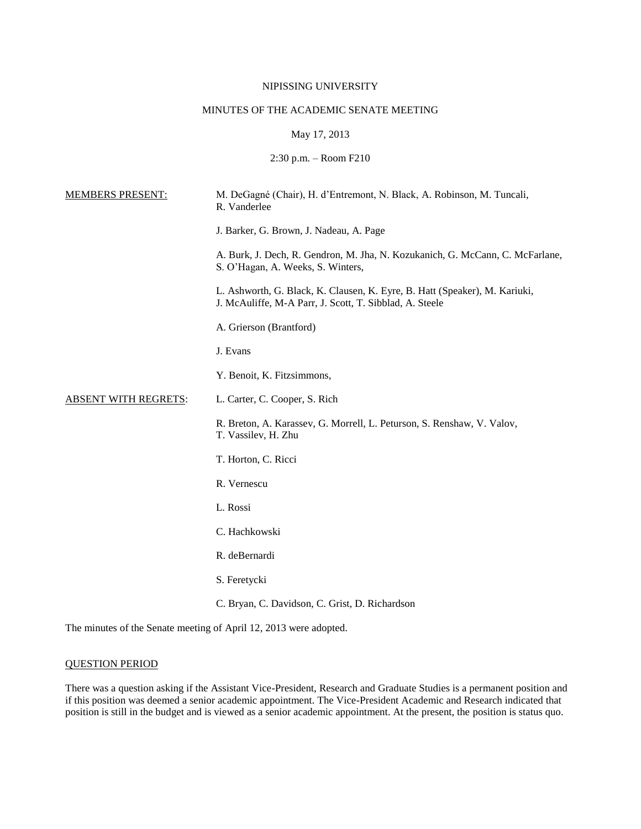# NIPISSING UNIVERSITY

# MINUTES OF THE ACADEMIC SENATE MEETING

# May 17, 2013

2:30 p.m. – Room F210

| <b>MEMBERS PRESENT:</b>     | M. DeGagné (Chair), H. d'Entremont, N. Black, A. Robinson, M. Tuncali,<br>R. Vanderlee                                                |
|-----------------------------|---------------------------------------------------------------------------------------------------------------------------------------|
|                             | J. Barker, G. Brown, J. Nadeau, A. Page                                                                                               |
|                             | A. Burk, J. Dech, R. Gendron, M. Jha, N. Kozukanich, G. McCann, C. McFarlane,<br>S. O'Hagan, A. Weeks, S. Winters,                    |
|                             | L. Ashworth, G. Black, K. Clausen, K. Eyre, B. Hatt (Speaker), M. Kariuki,<br>J. McAuliffe, M-A Parr, J. Scott, T. Sibblad, A. Steele |
|                             | A. Grierson (Brantford)                                                                                                               |
|                             | J. Evans                                                                                                                              |
|                             | Y. Benoit, K. Fitzsimmons,                                                                                                            |
| <b>ABSENT WITH REGRETS:</b> | L. Carter, C. Cooper, S. Rich                                                                                                         |
|                             | R. Breton, A. Karassev, G. Morrell, L. Peturson, S. Renshaw, V. Valov,<br>T. Vassilev, H. Zhu                                         |
|                             | T. Horton, C. Ricci                                                                                                                   |
|                             | R. Vernescu                                                                                                                           |
|                             | L. Rossi                                                                                                                              |
|                             | C. Hachkowski                                                                                                                         |
|                             | R. deBernardi                                                                                                                         |
|                             | S. Feretycki                                                                                                                          |
|                             | C. Bryan, C. Davidson, C. Grist, D. Richardson                                                                                        |

The minutes of the Senate meeting of April 12, 2013 were adopted.

# QUESTION PERIOD

There was a question asking if the Assistant Vice-President, Research and Graduate Studies is a permanent position and if this position was deemed a senior academic appointment. The Vice-President Academic and Research indicated that position is still in the budget and is viewed as a senior academic appointment. At the present, the position is status quo.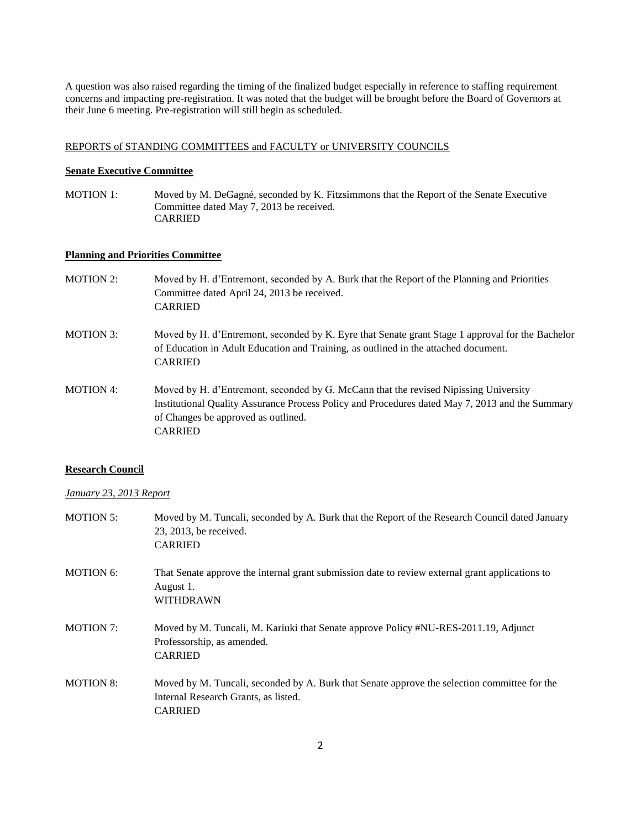A question was also raised regarding the timing of the finalized budget especially in reference to staffing requirement concerns and impacting pre-registration. It was noted that the budget will be brought before the Board of Governors at their June 6 meeting. Pre-registration will still begin as scheduled.

### REPORTS of STANDING COMMITTEES and FACULTY or UNIVERSITY COUNCILS

#### **Senate Executive Committee**

MOTION 1: Moved by M. DeGagné, seconded by K. Fitzsimmons that the Report of the Senate Executive Committee dated May 7, 2013 be received. CARRIED

# **Planning and Priorities Committee**

- MOTION 2: Moved by H. d'Entremont, seconded by A. Burk that the Report of the Planning and Priorities Committee dated April 24, 2013 be received. CARRIED
- MOTION 3: Moved by H. d'Entremont, seconded by K. Eyre that Senate grant Stage 1 approval for the Bachelor of Education in Adult Education and Training, as outlined in the attached document. CARRIED
- MOTION 4: Moved by H. d'Entremont, seconded by G. McCann that the revised Nipissing University Institutional Quality Assurance Process Policy and Procedures dated May 7, 2013 and the Summary of Changes be approved as outlined. CARRIED

## **Research Council**

### *January 23, 2013 Report*

| <b>MOTION 5:</b> | Moved by M. Tuncali, seconded by A. Burk that the Report of the Research Council dated January<br>23, 2013, be received.<br><b>CARRIED</b>             |
|------------------|--------------------------------------------------------------------------------------------------------------------------------------------------------|
| MOTION 6:        | That Senate approve the internal grant submission date to review external grant applications to<br>August 1.<br><b>WITHDRAWN</b>                       |
| <b>MOTION 7:</b> | Moved by M. Tuncali, M. Kariuki that Senate approve Policy #NU-RES-2011.19, Adjunct<br>Professorship, as amended.<br><b>CARRIED</b>                    |
| <b>MOTION 8:</b> | Moved by M. Tuncali, seconded by A. Burk that Senate approve the selection committee for the<br>Internal Research Grants, as listed.<br><b>CARRIED</b> |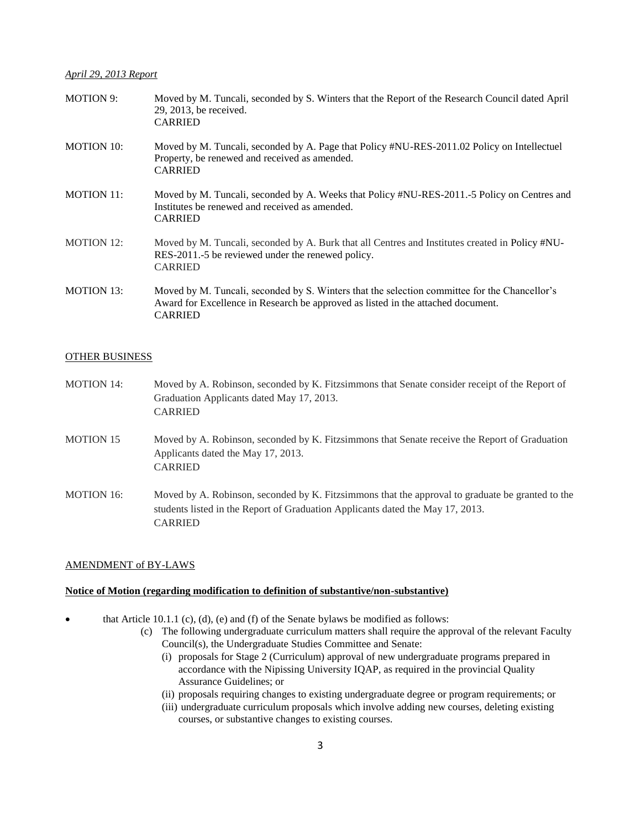# *April 29, 2013 Report*

| <b>MOTION 9:</b>  | Moved by M. Tuncali, seconded by S. Winters that the Report of the Research Council dated April<br>29, 2013, be received.<br><b>CARRIED</b>                                                         |
|-------------------|-----------------------------------------------------------------------------------------------------------------------------------------------------------------------------------------------------|
| <b>MOTION 10:</b> | Moved by M. Tuncali, seconded by A. Page that Policy #NU-RES-2011.02 Policy on Intellectuel<br>Property, be renewed and received as amended.<br><b>CARRIED</b>                                      |
| <b>MOTION 11:</b> | Moved by M. Tuncali, seconded by A. Weeks that Policy #NU-RES-2011.-5 Policy on Centres and<br>Institutes be renewed and received as amended.<br><b>CARRIED</b>                                     |
| <b>MOTION 12:</b> | Moved by M. Tuncali, seconded by A. Burk that all Centres and Institutes created in Policy #NU-<br>RES-2011.-5 be reviewed under the renewed policy.<br><b>CARRIED</b>                              |
| <b>MOTION 13:</b> | Moved by M. Tuncali, seconded by S. Winters that the selection committee for the Chancellor's<br>Award for Excellence in Research be approved as listed in the attached document.<br><b>CARRIED</b> |

# OTHER BUSINESS

| <b>MOTION 14:</b> | Moved by A. Robinson, seconded by K. Fitzsimmons that Senate consider receipt of the Report of<br>Graduation Applicants dated May 17, 2013.<br><b>CARRIED</b>                                        |
|-------------------|------------------------------------------------------------------------------------------------------------------------------------------------------------------------------------------------------|
| <b>MOTION 15</b>  | Moved by A. Robinson, seconded by K. Fitzsimmons that Senate receive the Report of Graduation<br>Applicants dated the May 17, 2013.<br><b>CARRIED</b>                                                |
| <b>MOTION 16:</b> | Moved by A. Robinson, seconded by K. Fitzsimmons that the approval to graduate be granted to the<br>students listed in the Report of Graduation Applicants dated the May 17, 2013.<br><b>CARRIED</b> |

# AMENDMENT of BY-LAWS

# **Notice of Motion (regarding modification to definition of substantive/non-substantive)**

- $\bullet$  that Article 10.1.1 (c), (d), (e) and (f) of the Senate bylaws be modified as follows:
	- (c) The following undergraduate curriculum matters shall require the approval of the relevant Faculty Council(s), the Undergraduate Studies Committee and Senate:
		- (i) proposals for Stage 2 (Curriculum) approval of new undergraduate programs prepared in accordance with the Nipissing University IQAP, as required in the provincial Quality Assurance Guidelines; or
		- (ii) proposals requiring changes to existing undergraduate degree or program requirements; or
		- (iii) undergraduate curriculum proposals which involve adding new courses, deleting existing courses, or substantive changes to existing courses.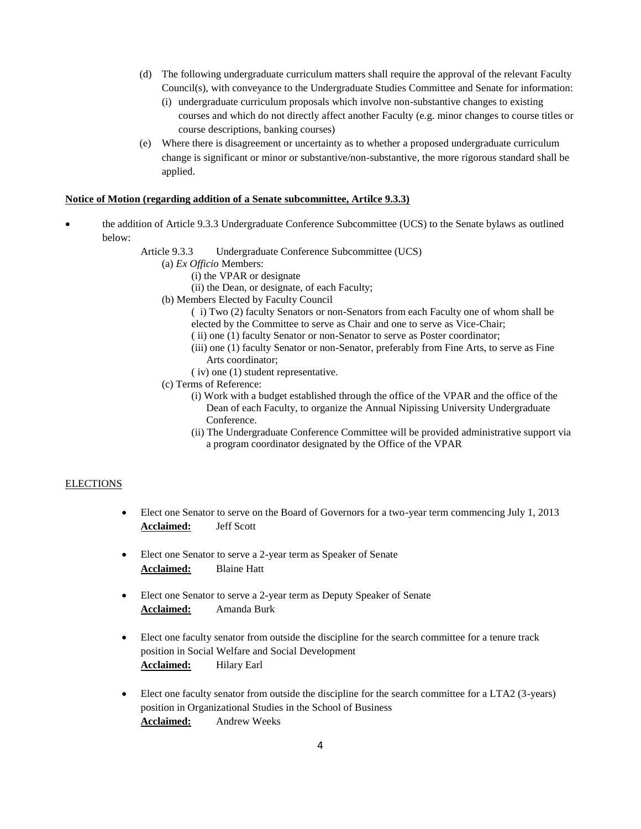- (d) The following undergraduate curriculum matters shall require the approval of the relevant Faculty Council(s), with conveyance to the Undergraduate Studies Committee and Senate for information:
	- (i) undergraduate curriculum proposals which involve non-substantive changes to existing courses and which do not directly affect another Faculty (e.g. minor changes to course titles or course descriptions, banking courses)
- (e) Where there is disagreement or uncertainty as to whether a proposed undergraduate curriculum change is significant or minor or substantive/non-substantive, the more rigorous standard shall be applied.

# **Notice of Motion (regarding addition of a Senate subcommittee, Artilce 9.3.3)**

- the addition of Article 9.3.3 Undergraduate Conference Subcommittee (UCS) to the Senate bylaws as outlined below:
	- Article 9.3.3 Undergraduate Conference Subcommittee (UCS)
		- (a) *Ex Officio* Members:
			- (i) the VPAR or designate
			- (ii) the Dean, or designate, of each Faculty;
		- (b) Members Elected by Faculty Council
			- ( i) Two (2) faculty Senators or non-Senators from each Faculty one of whom shall be elected by the Committee to serve as Chair and one to serve as Vice-Chair;
			- ( ii) one (1) faculty Senator or non-Senator to serve as Poster coordinator;
			- (iii) one (1) faculty Senator or non-Senator, preferably from Fine Arts, to serve as Fine Arts coordinator;
			- ( iv) one (1) student representative.
		- (c) Terms of Reference:
			- (i) Work with a budget established through the office of the VPAR and the office of the Dean of each Faculty, to organize the Annual Nipissing University Undergraduate Conference.
			- (ii) The Undergraduate Conference Committee will be provided administrative support via a program coordinator designated by the Office of the VPAR

# **ELECTIONS**

- Elect one Senator to serve on the Board of Governors for a two-year term commencing July 1, 2013 **Acclaimed:** Jeff Scott
- Elect one Senator to serve a 2-year term as Speaker of Senate **Acclaimed:** Blaine Hatt
- Elect one Senator to serve a 2-year term as Deputy Speaker of Senate **Acclaimed:** Amanda Burk
- Elect one faculty senator from outside the discipline for the search committee for a tenure track position in Social Welfare and Social Development Acclaimed: Hilary Earl
- Elect one faculty senator from outside the discipline for the search committee for a LTA2 (3-years) position in Organizational Studies in the School of Business **Acclaimed:** Andrew Weeks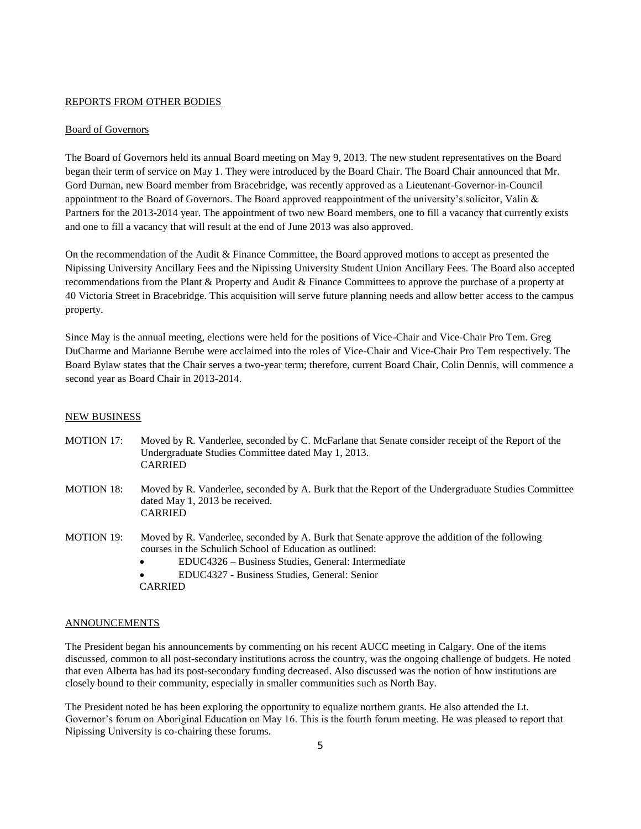### REPORTS FROM OTHER BODIES

### Board of Governors

The Board of Governors held its annual Board meeting on May 9, 2013. The new student representatives on the Board began their term of service on May 1. They were introduced by the Board Chair. The Board Chair announced that Mr. Gord Durnan, new Board member from Bracebridge, was recently approved as a Lieutenant-Governor-in-Council appointment to the Board of Governors. The Board approved reappointment of the university's solicitor, Valin & Partners for the 2013-2014 year. The appointment of two new Board members, one to fill a vacancy that currently exists and one to fill a vacancy that will result at the end of June 2013 was also approved.

On the recommendation of the Audit & Finance Committee, the Board approved motions to accept as presented the Nipissing University Ancillary Fees and the Nipissing University Student Union Ancillary Fees. The Board also accepted recommendations from the Plant & Property and Audit & Finance Committees to approve the purchase of a property at 40 Victoria Street in Bracebridge. This acquisition will serve future planning needs and allow better access to the campus property.

Since May is the annual meeting, elections were held for the positions of Vice-Chair and Vice-Chair Pro Tem. Greg DuCharme and Marianne Berube were acclaimed into the roles of Vice-Chair and Vice-Chair Pro Tem respectively. The Board Bylaw states that the Chair serves a two-year term; therefore, current Board Chair, Colin Dennis, will commence a second year as Board Chair in 2013-2014.

### NEW BUSINESS

| <b>MOTION 17:</b> | Moved by R. Vanderlee, seconded by C. McFarlane that Senate consider receipt of the Report of the<br>Undergraduate Studies Committee dated May 1, 2013.<br><b>CARRIED</b>                                                                                                                                  |
|-------------------|------------------------------------------------------------------------------------------------------------------------------------------------------------------------------------------------------------------------------------------------------------------------------------------------------------|
| <b>MOTION 18:</b> | Moved by R. Vanderlee, seconded by A. Burk that the Report of the Undergraduate Studies Committee<br>dated May 1, 2013 be received.<br><b>CARRIED</b>                                                                                                                                                      |
| <b>MOTION 19:</b> | Moved by R. Vanderlee, seconded by A. Burk that Senate approve the addition of the following<br>courses in the Schulich School of Education as outlined:<br>EDUC4326 – Business Studies, General: Intermediate<br>$\bullet$<br>EDUC4327 - Business Studies, General: Senior<br>$\bullet$<br><b>CARRIED</b> |

#### ANNOUNCEMENTS

The President began his announcements by commenting on his recent AUCC meeting in Calgary. One of the items discussed, common to all post-secondary institutions across the country, was the ongoing challenge of budgets. He noted that even Alberta has had its post-secondary funding decreased. Also discussed was the notion of how institutions are closely bound to their community, especially in smaller communities such as North Bay.

The President noted he has been exploring the opportunity to equalize northern grants. He also attended the Lt. Governor's forum on Aboriginal Education on May 16. This is the fourth forum meeting. He was pleased to report that Nipissing University is co-chairing these forums.